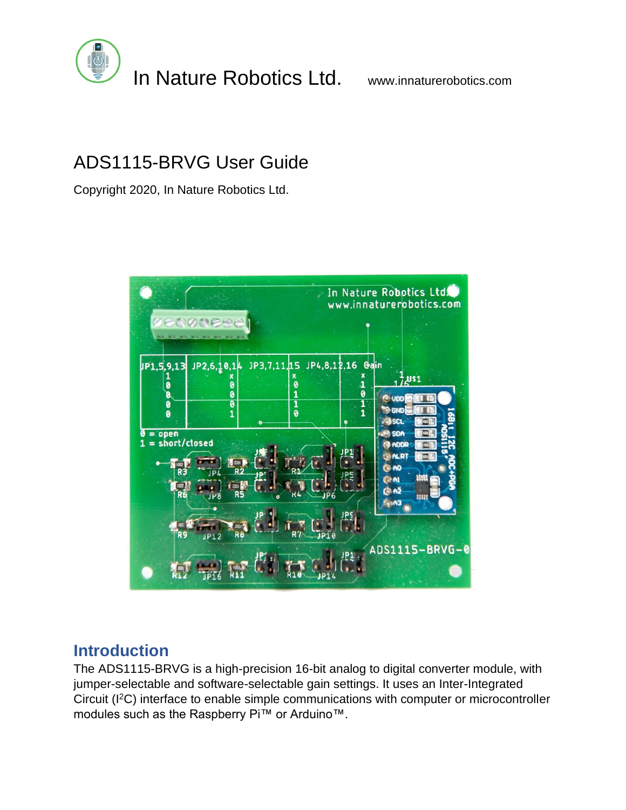

## ADS1115-BRVG User Guide

Copyright 2020, In Nature Robotics Ltd.



## **Introduction**

The ADS1115-BRVG is a high-precision 16-bit analog to digital converter module, with jumper-selectable and software-selectable gain settings. It uses an Inter-Integrated Circuit (I<sup>2</sup>C) interface to enable simple communications with computer or microcontroller modules such as the Raspberry Pi™ or Arduino™.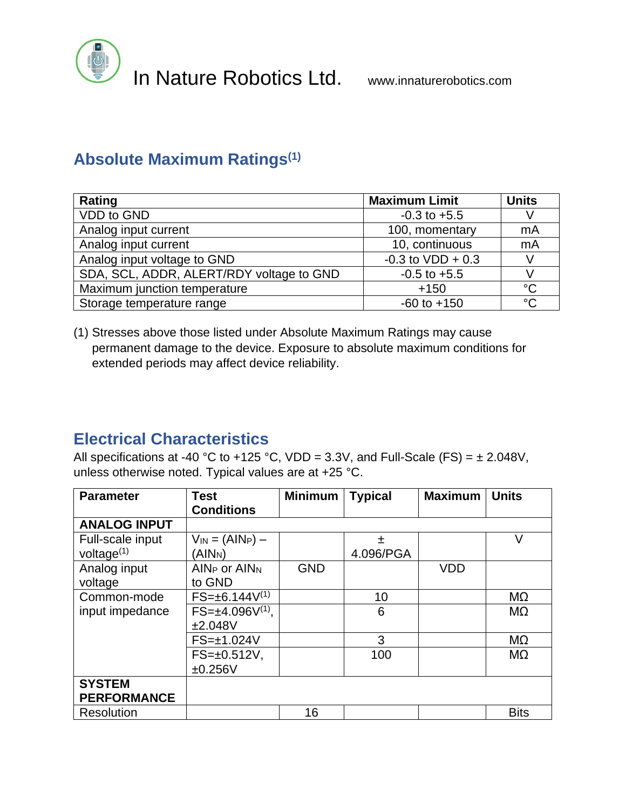

## **Absolute Maximum Ratings(1)**

| Rating                                   | <b>Maximum Limit</b> | <b>Units</b> |
|------------------------------------------|----------------------|--------------|
| <b>VDD</b> to GND                        | $-0.3$ to $+5.5$     |              |
| Analog input current                     | 100, momentary       | mA           |
| Analog input current                     | 10, continuous       | mA           |
| Analog input voltage to GND              | $-0.3$ to VDD + 0.3  |              |
| SDA, SCL, ADDR, ALERT/RDY voltage to GND | $-0.5$ to $+5.5$     |              |
| Maximum junction temperature             | $+150$               | $^{\circ}C$  |
| Storage temperature range                | $-60$ to $+150$      | $^{\circ}C$  |

(1) Stresses above those listed under Absolute Maximum Ratings may cause permanent damage to the device. Exposure to absolute maximum conditions for extended periods may affect device reliability.

## **Electrical Characteristics**

All specifications at -40 °C to +125 °C, VDD = 3.3V, and Full-Scale (FS) =  $\pm$  2.048V, unless otherwise noted. Typical values are at +25 °C.

| <b>Parameter</b>                    | <b>Test</b><br><b>Conditions</b>               | <b>Minimum</b> | <b>Typical</b> | <b>Maximum</b> | <b>Units</b>   |
|-------------------------------------|------------------------------------------------|----------------|----------------|----------------|----------------|
| <b>ANALOG INPUT</b>                 |                                                |                |                |                |                |
| Full-scale input<br>voltage $(1)$   | $V_{IN} = (AlN_P) -$<br>(AIN <sub>N</sub> )    |                | 土<br>4.096/PGA |                | V              |
| Analog input<br>voltage             | AIN <sub>P</sub> or AIN <sub>N</sub><br>to GND | <b>GND</b>     |                | <b>VDD</b>     |                |
| Common-mode                         | $FS = \pm 6.144V^{(1)}$                        |                | 10             |                | MΩ             |
| input impedance                     | $FS=\pm 4.096V^{(1)}$ ,<br>±2.048V             |                | 6              |                | M <sub>2</sub> |
|                                     | $FS = \pm 1.024V$                              |                | 3              |                | MΩ             |
|                                     | $FS = \pm 0.512V$ ,<br>±0.256V                 |                | 100            |                | M <sub>2</sub> |
| <b>SYSTEM</b><br><b>PERFORMANCE</b> |                                                |                |                |                |                |
| <b>Resolution</b>                   |                                                | 16             |                |                | <b>Bits</b>    |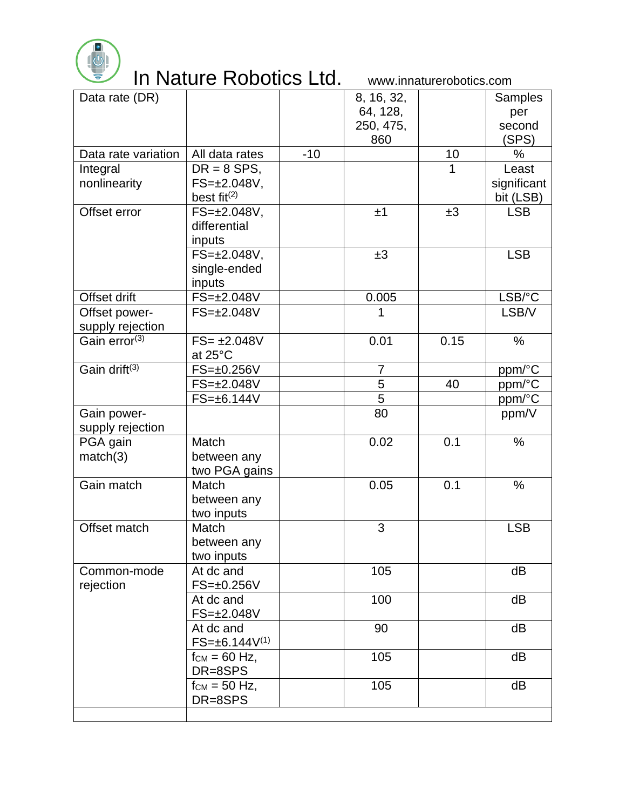

| Data rate (DR)            |                                      |       | 8, 16, 32,     |      | Samples     |
|---------------------------|--------------------------------------|-------|----------------|------|-------------|
|                           |                                      |       | 64, 128,       |      | per         |
|                           |                                      |       | 250, 475,      |      | second      |
|                           |                                      |       | 860            |      | (SPS)       |
| Data rate variation       | All data rates                       | $-10$ |                | 10   | $\%$        |
| Integral                  | $DR = 8$ SPS,                        |       |                |      | Least       |
| nonlinearity              | $FS = \pm 2.048V$ ,                  |       |                |      | significant |
|                           | best fit $(2)$                       |       |                |      | bit (LSB)   |
| Offset error              | $FS = \pm 2.048V$ ,                  |       | ±1             | ±3   | <b>LSB</b>  |
|                           | differential                         |       |                |      |             |
|                           | inputs                               |       |                |      |             |
|                           | $FS = \pm 2.048V$ ,                  |       | ±3             |      | <b>LSB</b>  |
|                           | single-ended                         |       |                |      |             |
|                           | inputs                               |       |                |      |             |
| Offset drift              | FS=±2.048V                           |       | 0.005          |      | LSB/°C      |
| Offset power-             | $FS = \pm 2.048V$                    |       | 1              |      | LSB/V       |
| supply rejection          |                                      |       |                |      |             |
| Gain error <sup>(3)</sup> | $FS = \pm 2.048V$                    |       | 0.01           | 0.15 | $\%$        |
|                           | at $25^{\circ}$ C                    |       |                |      |             |
| Gain drift <sup>(3)</sup> | $FS = \pm 0.256V$                    |       | 7              |      | ppm/°C      |
|                           | $FS = \pm 2.048V$                    |       | $\overline{5}$ | 40   | ppm/°C      |
|                           | $FS = \pm 6.144V$                    |       | $\overline{5}$ |      | ppm/°C      |
| Gain power-               |                                      |       | 80             |      | ppm/V       |
| supply rejection          |                                      |       |                |      |             |
| PGA gain                  | Match                                |       | 0.02           | 0.1  | $\%$        |
| match(3)                  | between any                          |       |                |      |             |
|                           | two PGA gains                        |       |                |      |             |
| Gain match                | Match                                |       | 0.05           | 0.1  | $\%$        |
|                           | between any                          |       |                |      |             |
|                           | two inputs                           |       |                |      |             |
| Offset match              | Match                                |       | 3              |      | <b>LSB</b>  |
|                           | between any                          |       |                |      |             |
|                           | two inputs                           |       |                |      |             |
| Common-mode               | At dc and                            |       | 105            |      | dB          |
| rejection                 | $FS = \pm 0.256V$                    |       |                |      |             |
|                           | At dc and                            |       | 100            |      | dB          |
|                           | FS=±2.048V                           |       |                |      |             |
|                           | At dc and<br>$FS = \pm 6.144V^{(1)}$ |       | 90             |      | dB          |
|                           |                                      |       | 105            |      | dB          |
|                           | $f_{CM} = 60$ Hz,<br>DR=8SPS         |       |                |      |             |
|                           | $f_{CM}$ = 50 Hz,                    |       | 105            |      | dB          |
|                           | DR=8SPS                              |       |                |      |             |
|                           |                                      |       |                |      |             |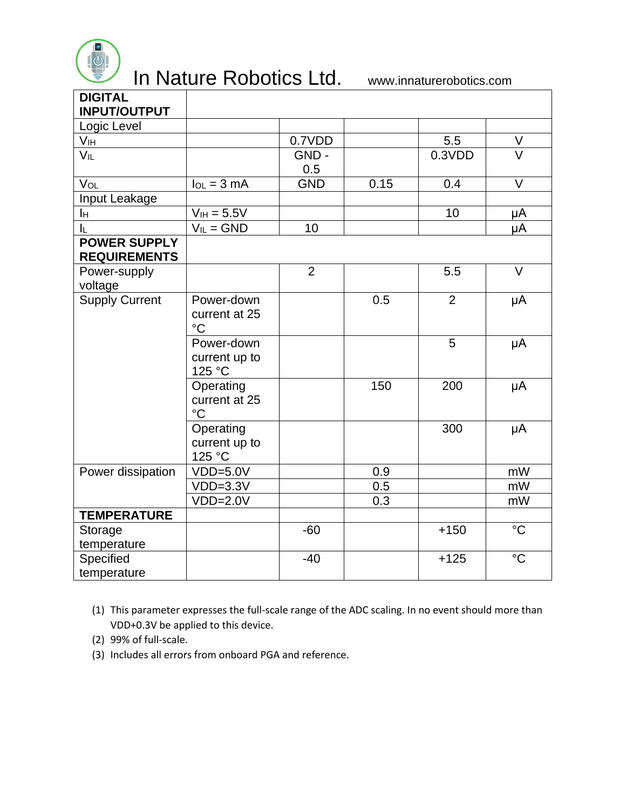

| <b>DIGITAL</b><br><b>INPUT/OUTPUT</b>      |                                                |                |      |                |                 |
|--------------------------------------------|------------------------------------------------|----------------|------|----------------|-----------------|
| Logic Level                                |                                                |                |      |                |                 |
| Vıн                                        |                                                | 0.7VDD         |      | 5.5            | V               |
| $V_{IL}$                                   |                                                | GND-<br>0.5    |      | 0.3VDD         | $\vee$          |
| VOL                                        | $I_{OL} = 3 mA$                                | <b>GND</b>     | 0.15 | 0.4            | $\vee$          |
| Input Leakage                              |                                                |                |      |                |                 |
| Iн                                         | $V_{IH} = 5.5V$                                |                |      | 10             | μA              |
| IL.                                        | $V_{IL} = GND$                                 | 10             |      |                | μA              |
| <b>POWER SUPPLY</b><br><b>REQUIREMENTS</b> |                                                |                |      |                |                 |
| Power-supply<br>voltage                    |                                                | $\overline{2}$ |      | 5.5            | $\vee$          |
| <b>Supply Current</b>                      | Power-down<br>current at 25<br>$\rm ^{\circ}C$ |                | 0.5  | $\overline{2}$ | μA              |
|                                            | Power-down<br>current up to<br>125 °C          |                |      | 5              | μA              |
|                                            | Operating<br>current at 25<br>$\rm ^{\circ}C$  |                | 150  | 200            | μA              |
|                                            | Operating<br>current up to<br>125 °C           |                |      | 300            | μA              |
| Power dissipation                          | $VDD=5.0V$                                     |                | 0.9  |                | mW              |
|                                            | $VDD=3.3V$                                     |                | 0.5  |                | mW              |
|                                            | $VDD=2.0V$                                     |                | 0.3  |                | mW              |
| <b>TEMPERATURE</b>                         |                                                |                |      |                |                 |
| Storage<br>temperature                     |                                                | $-60$          |      | $+150$         | $\rm ^{\circ}C$ |
| Specified<br>temperature                   |                                                | $-40$          |      | $+125$         | $\rm ^{\circ}C$ |

<sup>(1)</sup> This parameter expresses the full-scale range of the ADC scaling. In no event should more than VDD+0.3V be applied to this device.

- (2) 99% of full-scale.
- (3) Includes all errors from onboard PGA and reference.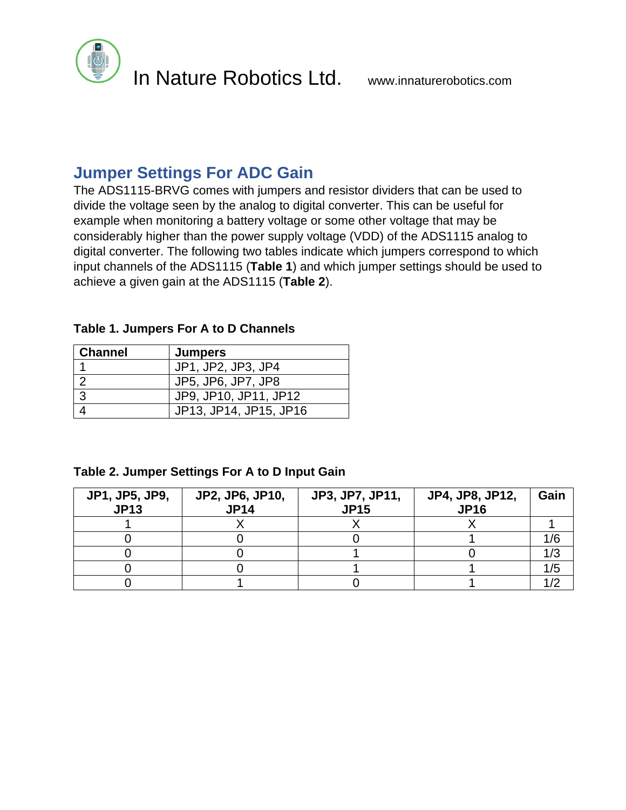

### **Jumper Settings For ADC Gain**

The ADS1115-BRVG comes with jumpers and resistor dividers that can be used to divide the voltage seen by the analog to digital converter. This can be useful for example when monitoring a battery voltage or some other voltage that may be considerably higher than the power supply voltage (VDD) of the ADS1115 analog to digital converter. The following two tables indicate which jumpers correspond to which input channels of the ADS1115 (**Table 1**) and which jumper settings should be used to achieve a given gain at the ADS1115 (**Table 2**).

#### **Table 1. Jumpers For A to D Channels**

| <b>Channel</b> | <b>Jumpers</b>         |
|----------------|------------------------|
|                | JP1, JP2, JP3, JP4     |
|                | JP5, JP6, JP7, JP8     |
| 3              | JP9, JP10, JP11, JP12  |
|                | JP13, JP14, JP15, JP16 |

#### **Table 2. Jumper Settings For A to D Input Gain**

| <b>JP1, JP5, JP9,</b><br><b>JP13</b> | <b>JP2, JP6, JP10,</b><br><b>JP14</b> | <b>JP3, JP7, JP11,</b><br><b>JP15</b> | JP4, JP8, JP12,<br><b>JP16</b> | Gain |
|--------------------------------------|---------------------------------------|---------------------------------------|--------------------------------|------|
|                                      |                                       |                                       |                                |      |
|                                      |                                       |                                       |                                |      |
|                                      |                                       |                                       |                                |      |
|                                      |                                       |                                       |                                | /5   |
|                                      |                                       |                                       |                                |      |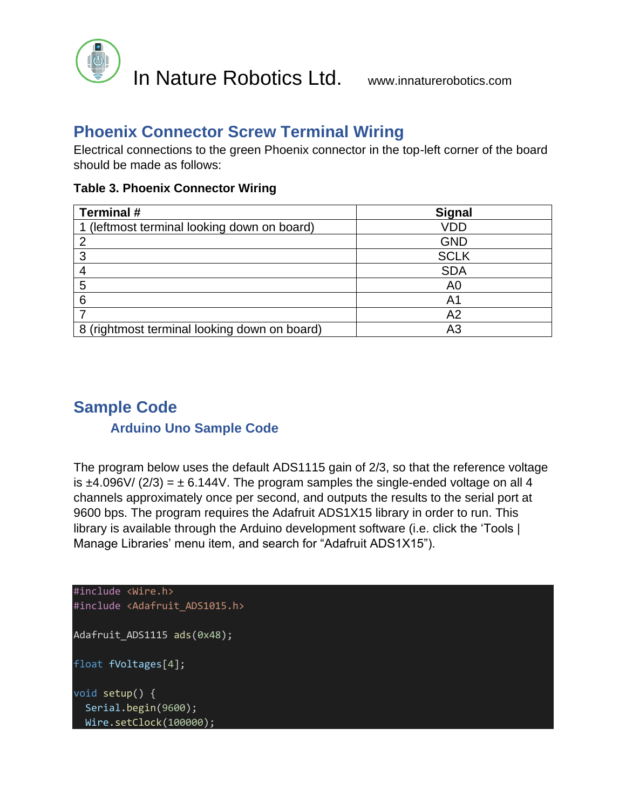

## **Phoenix Connector Screw Terminal Wiring**

Electrical connections to the green Phoenix connector in the top-left corner of the board should be made as follows:

|  |  | <b>Table 3. Phoenix Connector Wiring</b> |  |
|--|--|------------------------------------------|--|
|--|--|------------------------------------------|--|

| <b>Terminal #</b>                            | <b>Signal</b>  |  |  |
|----------------------------------------------|----------------|--|--|
| 1 (leftmost terminal looking down on board)  | VDD            |  |  |
|                                              | <b>GND</b>     |  |  |
|                                              | <b>SCLK</b>    |  |  |
|                                              | <b>SDA</b>     |  |  |
| 5                                            | A0             |  |  |
| 6                                            | A1             |  |  |
|                                              | A <sub>2</sub> |  |  |
| 8 (rightmost terminal looking down on board) | ΑЗ             |  |  |

## **Sample Code**

#### **Arduino Uno Sample Code**

The program below uses the default ADS1115 gain of 2/3, so that the reference voltage is  $\pm$ 4.096V/ (2/3) =  $\pm$  6.144V. The program samples the single-ended voltage on all 4 channels approximately once per second, and outputs the results to the serial port at 9600 bps. The program requires the Adafruit ADS1X15 library in order to run. This library is available through the Arduino development software (i.e. click the 'Tools | Manage Libraries' menu item, and search for "Adafruit ADS1X15").

```
#include <Wire.h>
#include <Adafruit_ADS1015.h>
Adafruit ADS1115 ads(0x48);
float fVoltages[4];
void setup() {
   Serial.begin(9600);
  Wire.setClock(100000);
```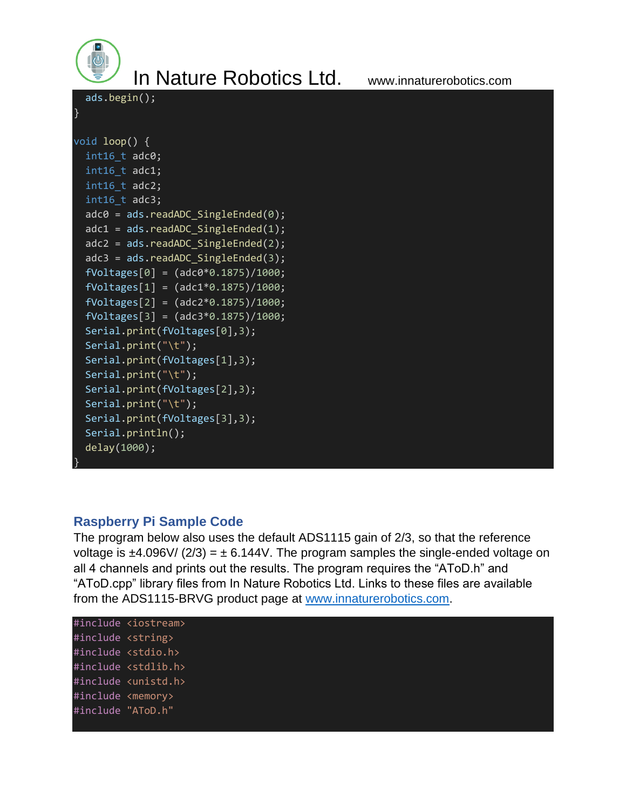```
 ads.begin(); 
}
void loop() {
  int16 t adc0;
  int16 t adc1;
  int16 t adc2;
  int16 t adc3;
  adc0 = ads.readADC SingleEnded(0);adc1 = ads.readADC SingleEnded(1);adc2 = ads.readADC SingleEnded(2); adc3 = ads.readADC_SingleEnded(3);
   fVoltages[0] = (adc0*0.1875)/1000;
  fVoltages[1] = (adc1*0.1875)/1000;fVoltages[2] = (adc2*0.1875)/1000;fVoltages[3] = (adc3*0.1875)/1000; Serial.print(fVoltages[0],3);
   Serial.print("\t");
  Serial.print(fVoltages[1],3);
   Serial.print("\t");
   Serial.print(fVoltages[2],3);
   Serial.print("\t");
  Serial.print(fVoltages[3],3);
   Serial.println();
   delay(1000);
}
```
#### **Raspberry Pi Sample Code**

The program below also uses the default ADS1115 gain of 2/3, so that the reference voltage is  $\pm$ 4.096V/ (2/3) =  $\pm$  6.144V. The program samples the single-ended voltage on all 4 channels and prints out the results. The program requires the "AToD.h" and "AToD.cpp" library files from In Nature Robotics Ltd. Links to these files are available from the ADS1115-BRVG product page at [www.innaturerobotics.com.](www.innaturerobotics.com)

```
#include <iostream>
#include <string>
#include <stdio.h>
#include <stdlib.h>
#include <unistd.h>
#include <memory>
#include "AToD.h"
```